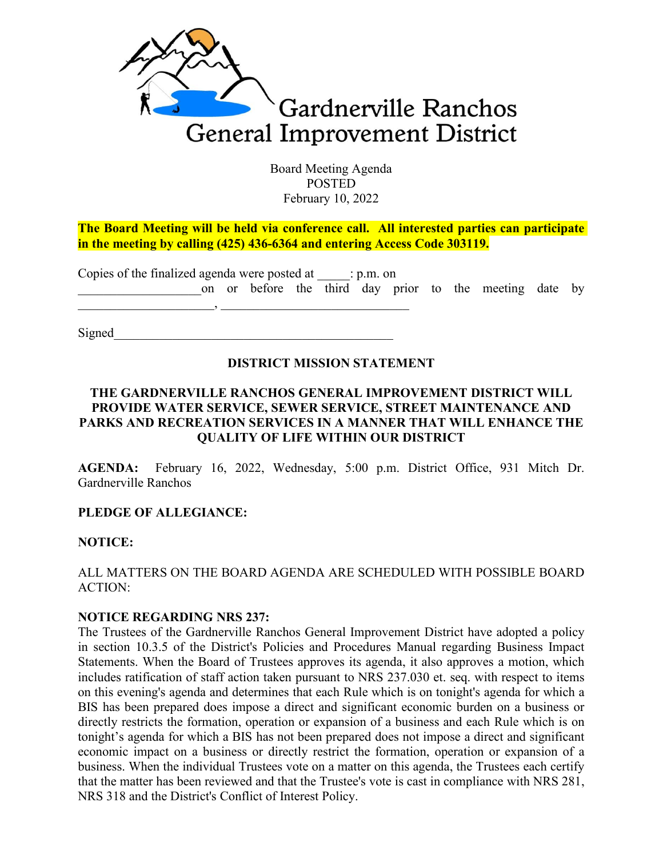

Board Meeting Agenda POSTED February 10, 2022

**The Board Meeting will be held via conference call. All interested parties can participate in the meeting by calling (425) 436-6364 and entering Access Code 303119.**

| Copies of the finalized agenda were posted at $\qquad$ : p.m. on |  |  |  |  |  |  |  |  |  |                                                         |  |  |
|------------------------------------------------------------------|--|--|--|--|--|--|--|--|--|---------------------------------------------------------|--|--|
|                                                                  |  |  |  |  |  |  |  |  |  | on or before the third day prior to the meeting date by |  |  |
|                                                                  |  |  |  |  |  |  |  |  |  |                                                         |  |  |

 $Signed$ 

### **DISTRICT MISSION STATEMENT**

### **THE GARDNERVILLE RANCHOS GENERAL IMPROVEMENT DISTRICT WILL PROVIDE WATER SERVICE, SEWER SERVICE, STREET MAINTENANCE AND PARKS AND RECREATION SERVICES IN A MANNER THAT WILL ENHANCE THE QUALITY OF LIFE WITHIN OUR DISTRICT**

AGENDA: February 16, 2022, Wednesday, 5:00 p.m. District Office, 931 Mitch Dr. Gardnerville Ranchos

## **PLEDGE OF ALLEGIANCE:**

### **NOTICE:**

### ALL MATTERS ON THE BOARD AGENDA ARE SCHEDULED WITH POSSIBLE BOARD ACTION:

### **NOTICE REGARDING NRS 237:**

The Trustees of the Gardnerville Ranchos General Improvement District have adopted a policy in section 10.3.5 of the District's Policies and Procedures Manual regarding Business Impact Statements. When the Board of Trustees approves its agenda, it also approves a motion, which includes ratification of staff action taken pursuant to NRS 237.030 et. seq. with respect to items on this evening's agenda and determines that each Rule which is on tonight's agenda for which a BIS has been prepared does impose a direct and significant economic burden on a business or directly restricts the formation, operation or expansion of a business and each Rule which is on tonight's agenda for which a BIS has not been prepared does not impose a direct and significant economic impact on a business or directly restrict the formation, operation or expansion of a business. When the individual Trustees vote on a matter on this agenda, the Trustees each certify that the matter has been reviewed and that the Trustee's vote is cast in compliance with NRS 281, NRS 318 and the District's Conflict of Interest Policy.